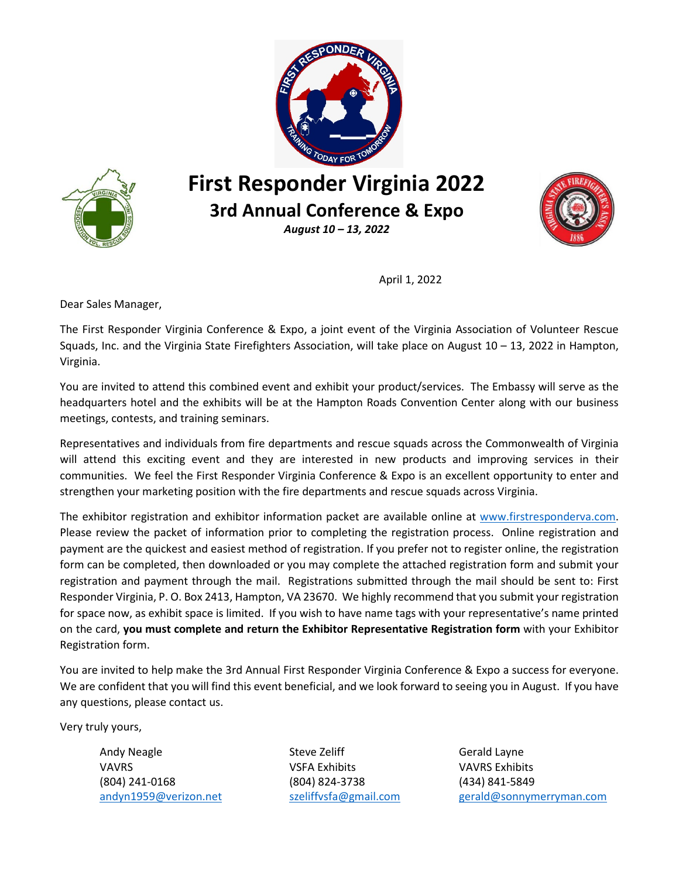



# **First Responder Virginia 2022 3rd Annual Conference & Expo**

*August 10 – 13, 2022*



April 1, 2022

Dear Sales Manager,

The First Responder Virginia Conference & Expo, a joint event of the Virginia Association of Volunteer Rescue Squads, Inc. and the Virginia State Firefighters Association, will take place on August 10 – 13, 2022 in Hampton, Virginia.

You are invited to attend this combined event and exhibit your product/services. The Embassy will serve as the headquarters hotel and the exhibits will be at the Hampton Roads Convention Center along with our business meetings, contests, and training seminars.

Representatives and individuals from fire departments and rescue squads across the Commonwealth of Virginia will attend this exciting event and they are interested in new products and improving services in their communities. We feel the First Responder Virginia Conference & Expo is an excellent opportunity to enter and strengthen your marketing position with the fire departments and rescue squads across Virginia.

The exhibitor registration and exhibitor information packet are available online at [www.firstresponderva.com.](http://www.firstresponderva.com/) Please review the packet of information prior to completing the registration process. Online registration and payment are the quickest and easiest method of registration. If you prefer not to register online, the registration form can be completed, then downloaded or you may complete the attached registration form and submit your registration and payment through the mail. Registrations submitted through the mail should be sent to: First Responder Virginia, P. O. Box 2413, Hampton, VA 23670. We highly recommend that you submit your registration for space now, as exhibit space is limited. If you wish to have name tags with your representative's name printed on the card, **you must complete and return the Exhibitor Representative Registration form** with your Exhibitor Registration form.

You are invited to help make the 3rd Annual First Responder Virginia Conference & Expo a success for everyone. We are confident that you will find this event beneficial, and we look forward to seeing you in August. If you have any questions, please contact us.

Very truly yours,

VAVRS VSFA Exhibits VAVRS Exhibits (804) 241-0168 (804) 824-3738 (434) 841-5849

Andy Neagle Steve Zeliff Charles Gerald Layne

[andyn1959@verizon.net](mailto:andyn1959@verizon.net) [szeliffvsfa@gmail.com](mailto:szeliffvsfa@gmail.com) [gerald@sonnymerryman.com](mailto:gerald@sonnymerryman.com)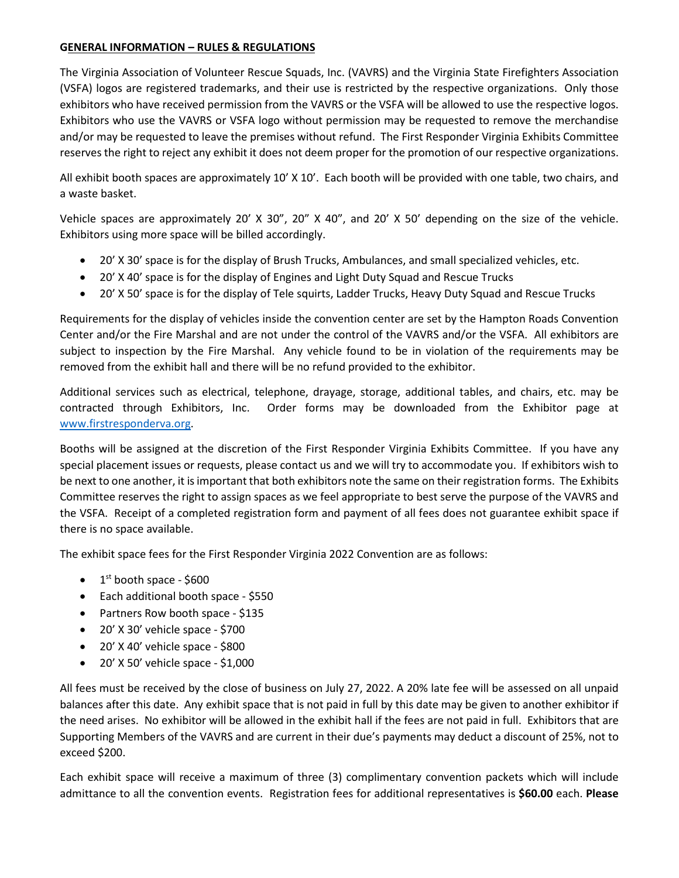#### **GENERAL INFORMATION – RULES & REGULATIONS**

The Virginia Association of Volunteer Rescue Squads, Inc. (VAVRS) and the Virginia State Firefighters Association (VSFA) logos are registered trademarks, and their use is restricted by the respective organizations. Only those exhibitors who have received permission from the VAVRS or the VSFA will be allowed to use the respective logos. Exhibitors who use the VAVRS or VSFA logo without permission may be requested to remove the merchandise and/or may be requested to leave the premises without refund. The First Responder Virginia Exhibits Committee reserves the right to reject any exhibit it does not deem proper for the promotion of our respective organizations.

All exhibit booth spaces are approximately 10' X 10'. Each booth will be provided with one table, two chairs, and a waste basket.

Vehicle spaces are approximately 20' X 30", 20" X 40", and 20' X 50' depending on the size of the vehicle. Exhibitors using more space will be billed accordingly.

- 20' X 30' space is for the display of Brush Trucks, Ambulances, and small specialized vehicles, etc.
- 20' X 40' space is for the display of Engines and Light Duty Squad and Rescue Trucks
- 20' X 50' space is for the display of Tele squirts, Ladder Trucks, Heavy Duty Squad and Rescue Trucks

Requirements for the display of vehicles inside the convention center are set by the Hampton Roads Convention Center and/or the Fire Marshal and are not under the control of the VAVRS and/or the VSFA. All exhibitors are subject to inspection by the Fire Marshal. Any vehicle found to be in violation of the requirements may be removed from the exhibit hall and there will be no refund provided to the exhibitor.

Additional services such as electrical, telephone, drayage, storage, additional tables, and chairs, etc. may be contracted through Exhibitors, Inc. Order forms may be downloaded from the Exhibitor page at [www.firstresponderva.org.](http://www.firstresponderva.org/)

Booths will be assigned at the discretion of the First Responder Virginia Exhibits Committee. If you have any special placement issues or requests, please contact us and we will try to accommodate you. If exhibitors wish to be next to one another, it is important that both exhibitors note the same on their registration forms. The Exhibits Committee reserves the right to assign spaces as we feel appropriate to best serve the purpose of the VAVRS and the VSFA. Receipt of a completed registration form and payment of all fees does not guarantee exhibit space if there is no space available.

The exhibit space fees for the First Responder Virginia 2022 Convention are as follows:

- $\bullet$  1<sup>st</sup> booth space \$600
- Each additional booth space \$550
- Partners Row booth space \$135
- $\bullet$  20' X 30' vehicle space \$700
- $\bullet$  20' X 40' vehicle space \$800
- $\bullet$  20' X 50' vehicle space \$1,000

All fees must be received by the close of business on July 27, 2022. A 20% late fee will be assessed on all unpaid balances after this date. Any exhibit space that is not paid in full by this date may be given to another exhibitor if the need arises. No exhibitor will be allowed in the exhibit hall if the fees are not paid in full. Exhibitors that are Supporting Members of the VAVRS and are current in their due's payments may deduct a discount of 25%, not to exceed \$200.

Each exhibit space will receive a maximum of three (3) complimentary convention packets which will include admittance to all the convention events. Registration fees for additional representatives is **\$60.00** each. **Please**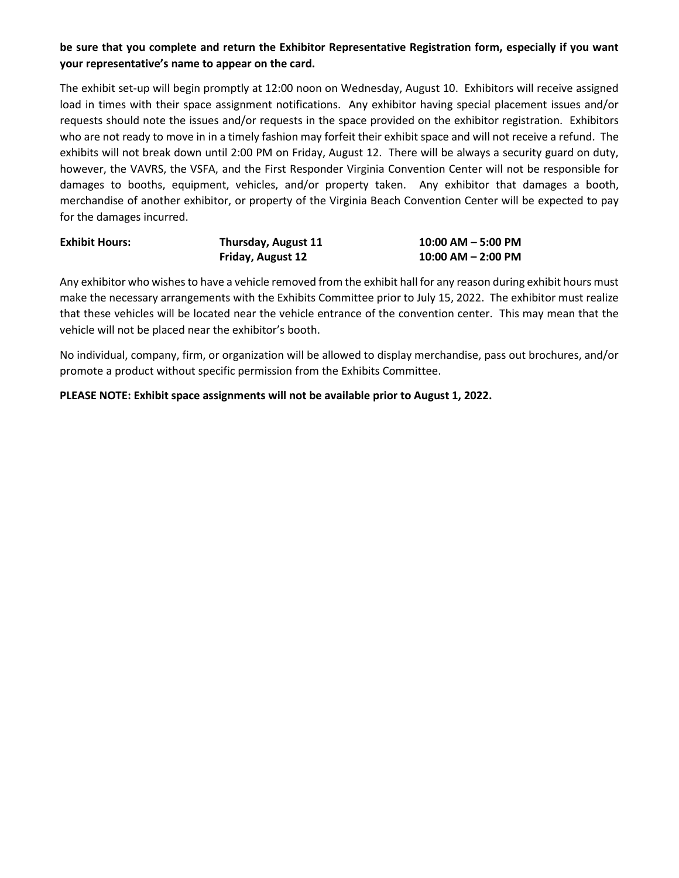#### **be sure that you complete and return the Exhibitor Representative Registration form, especially if you want your representative's name to appear on the card.**

The exhibit set-up will begin promptly at 12:00 noon on Wednesday, August 10. Exhibitors will receive assigned load in times with their space assignment notifications. Any exhibitor having special placement issues and/or requests should note the issues and/or requests in the space provided on the exhibitor registration. Exhibitors who are not ready to move in in a timely fashion may forfeit their exhibit space and will not receive a refund. The exhibits will not break down until 2:00 PM on Friday, August 12. There will be always a security guard on duty, however, the VAVRS, the VSFA, and the First Responder Virginia Convention Center will not be responsible for damages to booths, equipment, vehicles, and/or property taken. Any exhibitor that damages a booth, merchandise of another exhibitor, or property of the Virginia Beach Convention Center will be expected to pay for the damages incurred.

| <b>Exhibit Hours:</b> | Thursday, August 11 | $10:00$ AM $-$ 5:00 PM |
|-----------------------|---------------------|------------------------|
|                       | Friday, August 12   | $10:00$ AM $-$ 2:00 PM |

Any exhibitor who wishes to have a vehicle removed from the exhibit hall for any reason during exhibit hours must make the necessary arrangements with the Exhibits Committee prior to July 15, 2022. The exhibitor must realize that these vehicles will be located near the vehicle entrance of the convention center. This may mean that the vehicle will not be placed near the exhibitor's booth.

No individual, company, firm, or organization will be allowed to display merchandise, pass out brochures, and/or promote a product without specific permission from the Exhibits Committee.

#### **PLEASE NOTE: Exhibit space assignments will not be available prior to August 1, 2022.**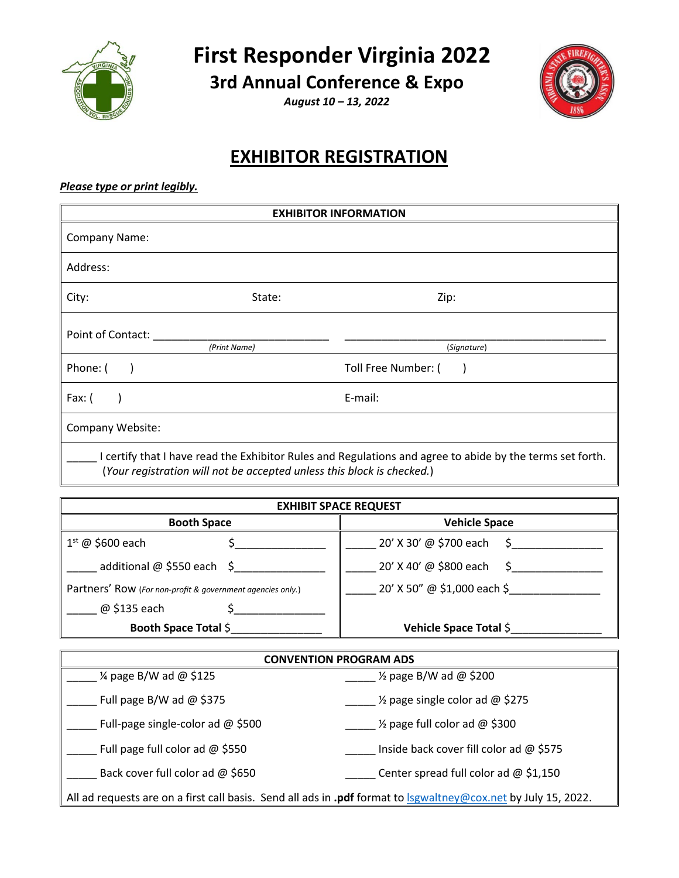



**3rd Annual Conference & Expo**

*August 10 – 13, 2022*



## **EXHIBITOR REGISTRATION**

#### *Please type or print legibly.*

| <b>EXHIBITOR INFORMATION</b> |                                                                        |                                                                                                           |
|------------------------------|------------------------------------------------------------------------|-----------------------------------------------------------------------------------------------------------|
| <b>Company Name:</b>         |                                                                        |                                                                                                           |
| Address:                     |                                                                        |                                                                                                           |
| City:                        | State:                                                                 | Zip:                                                                                                      |
| Point of Contact:            | (Print Name)                                                           | (Signature)                                                                                               |
| Phone: (                     |                                                                        | Toll Free Number: (                                                                                       |
| Fax: $($                     |                                                                        | E-mail:                                                                                                   |
| Company Website:             |                                                                        |                                                                                                           |
|                              | (Your registration will not be accepted unless this block is checked.) | I certify that I have read the Exhibitor Rules and Regulations and agree to abide by the terms set forth. |

| <b>EXHIBIT SPACE REQUEST</b>                               |                             |  |  |
|------------------------------------------------------------|-----------------------------|--|--|
| <b>Booth Space</b>                                         | <b>Vehicle Space</b>        |  |  |
| $1st$ @ \$600 each                                         | 20' X 30' @ \$700 each      |  |  |
| additional $\omega$ \$550 each \$                          | 20' X 40' @ \$800 each      |  |  |
| Partners' Row (For non-profit & government agencies only.) | 20' X 50" @ \$1,000 each \$ |  |  |
| @ \$135 each                                               |                             |  |  |
| Booth Space Total \$                                       | Vehicle Space Total \$      |  |  |

| <b>CONVENTION PROGRAM ADS</b>       |                                                                                                                       |  |  |
|-------------------------------------|-----------------------------------------------------------------------------------------------------------------------|--|--|
| $\frac{1}{4}$ page B/W ad @ \$125   | $\frac{1}{2}$ page B/W ad @ \$200                                                                                     |  |  |
| Full page B/W ad $@$ \$375          | $\frac{1}{2}$ page single color ad @ \$275                                                                            |  |  |
| Full-page single-color ad $@$ \$500 | 1/ <sub>2</sub> page full color ad @ \$300                                                                            |  |  |
| Full page full color ad $@$ \$550   | Inside back cover fill color ad $@$ \$575                                                                             |  |  |
| Back cover full color ad @ \$650    | Center spread full color ad $@$ \$1,150                                                                               |  |  |
|                                     | All ad requests are on a first call basis. Send all ads in .pdf format to <b>Isgwaltney@cox.net</b> by July 15, 2022. |  |  |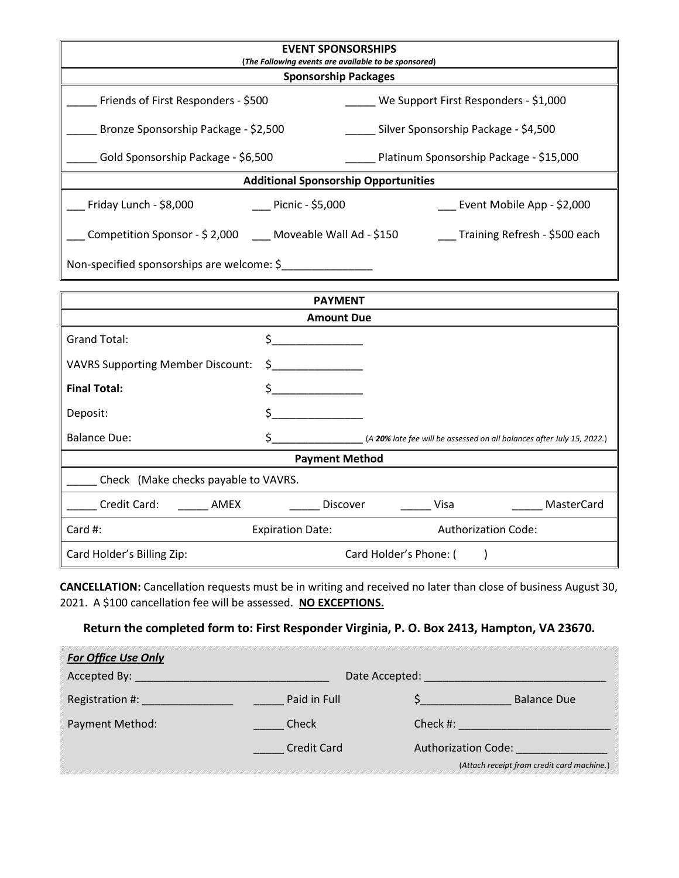| <b>EVENT SPONSORSHIPS</b>                                   |                                            |                                         |                                                                        |  |
|-------------------------------------------------------------|--------------------------------------------|-----------------------------------------|------------------------------------------------------------------------|--|
| (The Following events are available to be sponsored)        |                                            |                                         |                                                                        |  |
|                                                             | <b>Sponsorship Packages</b>                |                                         |                                                                        |  |
| Friends of First Responders - \$500                         |                                            |                                         | We Support First Responders - \$1,000                                  |  |
| Bronze Sponsorship Package - \$2,500                        |                                            | Silver Sponsorship Package - \$4,500    |                                                                        |  |
| Gold Sponsorship Package - \$6,500                          |                                            | Platinum Sponsorship Package - \$15,000 |                                                                        |  |
| <b>Additional Sponsorship Opportunities</b>                 |                                            |                                         |                                                                        |  |
| Friday Lunch - \$8,000                                      | $\frac{1}{2}$ Picnic - \$5,000             |                                         | Event Mobile App - \$2,000                                             |  |
| Competition Sponsor - \$ 2,000 ___ Moveable Wall Ad - \$150 |                                            |                                         | ___ Training Refresh - \$500 each                                      |  |
|                                                             | Non-specified sponsorships are welcome: \$ |                                         |                                                                        |  |
|                                                             | <b>PAYMENT</b>                             |                                         |                                                                        |  |
|                                                             | <b>Amount Due</b>                          |                                         |                                                                        |  |
| <b>Grand Total:</b>                                         | \$                                         |                                         |                                                                        |  |
| <b>VAVRS Supporting Member Discount:</b>                    |                                            |                                         |                                                                        |  |
| <b>Final Total:</b>                                         | \$                                         |                                         |                                                                        |  |
| Deposit:                                                    | \$.                                        |                                         |                                                                        |  |
| <b>Balance Due:</b>                                         | \$                                         |                                         | (A 20% late fee will be assessed on all balances after July 15, 2022.) |  |
| <b>Payment Method</b>                                       |                                            |                                         |                                                                        |  |
| Check (Make checks payable to VAVRS.                        |                                            |                                         |                                                                        |  |
| Credit Card:<br>AMEX                                        | <b>Discover</b>                            | Visa                                    | MasterCard                                                             |  |
| Card #:                                                     | <b>Expiration Date:</b>                    |                                         | <b>Authorization Code:</b>                                             |  |
| Card Holder's Billing Zip:                                  |                                            | Card Holder's Phone: (                  |                                                                        |  |

**CANCELLATION:** Cancellation requests must be in writing and received no later than close of business August 30, 2021. A \$100 cancellation fee will be assessed. **NO EXCEPTIONS.**

#### **Return the completed form to: First Responder Virginia, P. O. Box 2413, Hampton, VA 23670.**

| <b>For Office Use Only</b> |                    |                            |                                            |
|----------------------------|--------------------|----------------------------|--------------------------------------------|
| Accepted By:               |                    | Date Accepted:             |                                            |
| Registration #:            | Paid in Full       |                            | <b>Balance Due</b>                         |
| <b>Payment Method:</b>     | Check              | Check $#$ :                |                                            |
|                            | <b>Credit Card</b> | <b>Authorization Code:</b> |                                            |
|                            |                    |                            | (Attach receipt from credit card machine.) |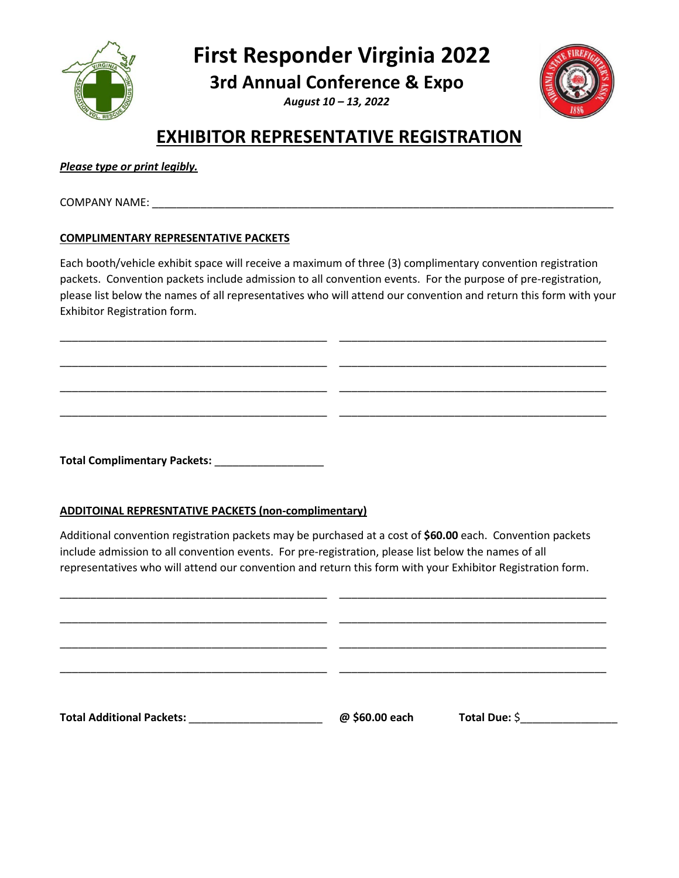**First Responder Virginia 2022**

**3rd Annual Conference & Expo**

*August 10 – 13, 2022*



### **EXHIBITOR REPRESENTATIVE REGISTRATION**

| Please type or print legibly. |  |  |
|-------------------------------|--|--|
|                               |  |  |

COMPANY NAME: United States and States and States and States and States and States and States and States and States and States and States and States and States and States and States and States and States and States and Sta

#### **COMPLIMENTARY REPRESENTATIVE PACKETS**

Each booth/vehicle exhibit space will receive a maximum of three (3) complimentary convention registration packets. Convention packets include admission to all convention events. For the purpose of pre-registration, please list below the names of all representatives who will attend our convention and return this form with your Exhibitor Registration form.

\_\_\_\_\_\_\_\_\_\_\_\_\_\_\_\_\_\_\_\_\_\_\_\_\_\_\_\_\_\_\_\_\_\_\_\_\_\_\_\_\_\_\_\_ \_\_\_\_\_\_\_\_\_\_\_\_\_\_\_\_\_\_\_\_\_\_\_\_\_\_\_\_\_\_\_\_\_\_\_\_\_\_\_\_\_\_\_\_

\_\_\_\_\_\_\_\_\_\_\_\_\_\_\_\_\_\_\_\_\_\_\_\_\_\_\_\_\_\_\_\_\_\_\_\_\_\_\_\_\_\_\_\_ \_\_\_\_\_\_\_\_\_\_\_\_\_\_\_\_\_\_\_\_\_\_\_\_\_\_\_\_\_\_\_\_\_\_\_\_\_\_\_\_\_\_\_\_

\_\_\_\_\_\_\_\_\_\_\_\_\_\_\_\_\_\_\_\_\_\_\_\_\_\_\_\_\_\_\_\_\_\_\_\_\_\_\_\_\_\_\_\_ \_\_\_\_\_\_\_\_\_\_\_\_\_\_\_\_\_\_\_\_\_\_\_\_\_\_\_\_\_\_\_\_\_\_\_\_\_\_\_\_\_\_\_\_

\_\_\_\_\_\_\_\_\_\_\_\_\_\_\_\_\_\_\_\_\_\_\_\_\_\_\_\_\_\_\_\_\_\_\_\_\_\_\_\_\_\_\_\_ \_\_\_\_\_\_\_\_\_\_\_\_\_\_\_\_\_\_\_\_\_\_\_\_\_\_\_\_\_\_\_\_\_\_\_\_\_\_\_\_\_\_\_\_

**Total Complimentary Packets:** \_\_\_\_\_\_\_\_\_\_\_\_\_\_\_\_\_\_

#### **ADDITOINAL REPRESNTATIVE PACKETS (non-complimentary)**

Additional convention registration packets may be purchased at a cost of **\$60.00** each. Convention packets include admission to all convention events. For pre-registration, please list below the names of all representatives who will attend our convention and return this form with your Exhibitor Registration form.

| <b>Total Additional Packets:</b> Total Additional Packets: | @ \$60.00 each | Total Due: \$ |
|------------------------------------------------------------|----------------|---------------|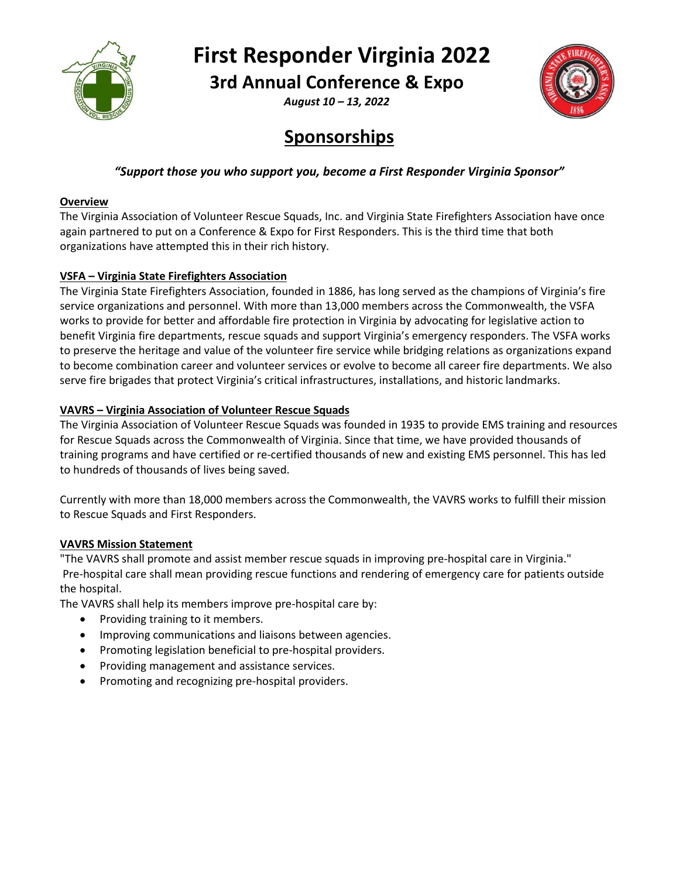

## **First Responder Virginia 2022**

**3rd Annual Conference & Expo**

*August 10 – 13, 2022*



## **Sponsorships**

#### *"Support those you who support you, become a First Responder Virginia Sponsor"*

#### **Overview**

The Virginia Association of Volunteer Rescue Squads, Inc. and Virginia State Firefighters Association have once again partnered to put on a Conference & Expo for First Responders. This is the third time that both organizations have attempted this in their rich history.

#### **VSFA – Virginia State Firefighters Association**

The Virginia State Firefighters Association, founded in 1886, has long served as the champions of Virginia's fire service organizations and personnel. With more than 13,000 members across the Commonwealth, the VSFA works to provide for better and affordable fire protection in Virginia by advocating for legislative action to benefit Virginia fire departments, rescue squads and support Virginia's emergency responders. The VSFA works to preserve the heritage and value of the volunteer fire service while bridging relations as organizations expand to become combination career and volunteer services or evolve to become all career fire departments. We also serve fire brigades that protect Virginia's critical infrastructures, installations, and historic landmarks.

#### **VAVRS – Virginia Association of Volunteer Rescue Squads**

The Virginia Association of Volunteer Rescue Squads was founded in 1935 to provide EMS training and resources for Rescue Squads across the Commonwealth of Virginia. Since that time, we have provided thousands of training programs and have certified or re-certified thousands of new and existing EMS personnel. This has led to hundreds of thousands of lives being saved.

Currently with more than 18,000 members across the Commonwealth, the VAVRS works to fulfill their mission to Rescue Squads and First Responders.

#### **VAVRS Mission Statement**

"The VAVRS shall promote and assist member rescue squads in improving pre-hospital care in Virginia." Pre-hospital care shall mean providing rescue functions and rendering of emergency care for patients outside the hospital.

The VAVRS shall help its members improve pre-hospital care by:

- Providing training to it members.
- Improving communications and liaisons between agencies.
- Promoting legislation beneficial to pre-hospital providers.
- Providing management and assistance services.
- Promoting and recognizing pre-hospital providers.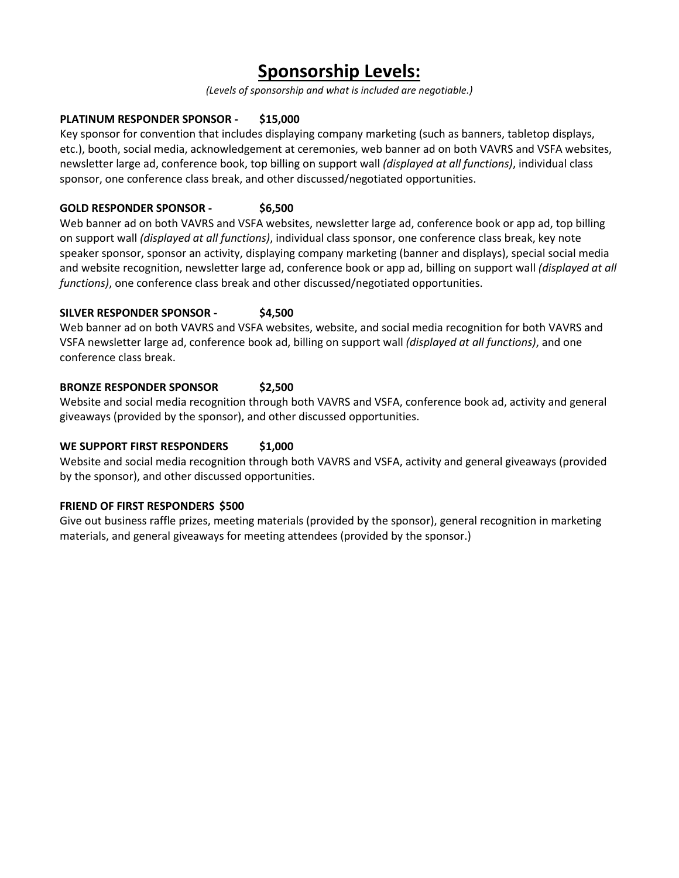## **Sponsorship Levels:**

*(Levels of sponsorship and what is included are negotiable.)*

#### **PLATINUM RESPONDER SPONSOR - \$15,000**

Key sponsor for convention that includes displaying company marketing (such as banners, tabletop displays, etc.), booth, social media, acknowledgement at ceremonies, web banner ad on both VAVRS and VSFA websites, newsletter large ad, conference book, top billing on support wall *(displayed at all functions)*, individual class sponsor, one conference class break, and other discussed/negotiated opportunities.

#### **GOLD RESPONDER SPONSOR - \$6,500**

Web banner ad on both VAVRS and VSFA websites, newsletter large ad, conference book or app ad, top billing on support wall *(displayed at all functions)*, individual class sponsor, one conference class break, key note speaker sponsor, sponsor an activity, displaying company marketing (banner and displays), special social media and website recognition, newsletter large ad, conference book or app ad, billing on support wall *(displayed at all functions)*, one conference class break and other discussed/negotiated opportunities.

#### **SILVER RESPONDER SPONSOR - \$4,500**

Web banner ad on both VAVRS and VSFA websites, website, and social media recognition for both VAVRS and VSFA newsletter large ad, conference book ad, billing on support wall *(displayed at all functions)*, and one conference class break.

#### **BRONZE RESPONDER SPONSOR \$2,500**

Website and social media recognition through both VAVRS and VSFA, conference book ad, activity and general giveaways (provided by the sponsor), and other discussed opportunities.

#### WE SUPPORT FIRST RESPONDERS \$1,000

Website and social media recognition through both VAVRS and VSFA, activity and general giveaways (provided by the sponsor), and other discussed opportunities.

#### **FRIEND OF FIRST RESPONDERS \$500**

Give out business raffle prizes, meeting materials (provided by the sponsor), general recognition in marketing materials, and general giveaways for meeting attendees (provided by the sponsor.)